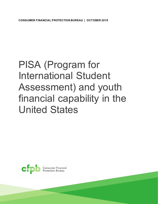# PISA (Program for International Student Assessment) and youth financial capability in the United States

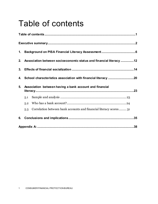## <span id="page-1-0"></span>Table of contents

|    |                                                                  | 2. Association between socioeconomic status and financial literacy 12 |  |  |  |
|----|------------------------------------------------------------------|-----------------------------------------------------------------------|--|--|--|
| 3. |                                                                  |                                                                       |  |  |  |
|    | 4. School characteristics association with financial literacy 20 |                                                                       |  |  |  |
| 5. | Association between having a bank account and financial          |                                                                       |  |  |  |
|    | 5.1                                                              |                                                                       |  |  |  |
|    | 5.2                                                              |                                                                       |  |  |  |
|    | 5.3                                                              | Correlation between bank accounts and financial literacy scores 31    |  |  |  |
|    |                                                                  |                                                                       |  |  |  |
| 6. |                                                                  |                                                                       |  |  |  |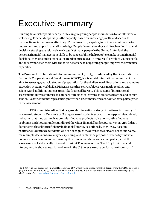## <span id="page-2-0"></span>Executive summary

Building financial capability early in life can give young people a foundation for adult financial well-being. Financial capability is the capacity, based on knowledge, skills, and access,to manage financial resources effectively. To be financially capable, individuals must be able to understand and apply financial knowledge. People face challenging and life-changing financial decisions starting at a relatively early age. Yet many people in the United States lack the personal financial management skills to be successful. To help people to make sound financial decisions, the Consumer Financial Protection Bureau (CFPB or Bureau) provides youngpeople and those who teach them with the tools necessary to help young people improve their financial capability.

The Program for International Student Assessment (PISA), coordinated by the Organization for Economic Cooperation and Development (OECD), is a triennial international assessment that aims to assess 15-year-old students' preparation for the challenges of life as adults and evaluates education systems worldwide. PISA assesses three core subject areas: math, reading, and science, and additional subject areas, like financial literacy. This system of international assessments allows countries to compare outcomes of learning as students near the end of high school. To date, students representing more than 72 countries and economies have participated in the assessment.

In 2012, PISA administered the first large-scale international study of the financial literacy of 15-year-old students. Only 10% of U.S. 15-year-old students scored in the top proficiency level, indicating that they can analyze complex financial products, solve non-routine financial problems, and show an understanding of the wider financial landscape. However, 22% did not demonstrate baseline proficiency in financial literacy as defined by the OECD. Baseline proficiency is defined as students who can recognize the differences between needs and wants, make simple decisions on everyday spending, and explain the purpose of everyday financial documents, such as an invoice. Among the countries and economies that participated, the U.S. scores were not statistically different from OECD average scores. The 2015 PISA financial literacy results showed nearly no change in the U.S. average score performance from 20[1](#page-2-1)2.<sup>1</sup>

<span id="page-2-1"></span> $1 \text{ In } 2 \text{ 015, the U.S average in financial literary was 487, which was not measurably different from the OECD average of } 1 \text{ and } 1 \text{ respectively.}$ 4 89. Between 2012 and 2015, there was no measurable change in the U.S average financial literacy score (492 v s. 4 87 ), *available at* [n ces.ed.gov /pubs2017/2017086.pdf](https://nces.ed.gov/pubs2017/2017086.pdf).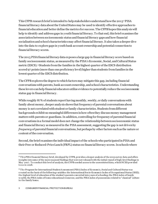This CFPB research brief is intended to help stakeholders understand how the  $2015^2$  $2015^2$  PISA financial literacy data about the United Statesmay be used to identify effective approaches to financial education and better define the metrics for success. The CFPB hopes this analysis will help to identify and address gaps in youth financial literacy. To that end, this brief examines the association betweensocioeconomic status andfinancial literacy gaps and how financial socialization and school characteristics may affect financial literacy. It also takes a deeper dive into the data to explore gaps in youth bank account ownership and potential connection to financial literacy scores.

The 2015 PISA financial literacy data exposes a large gap in financial literacy score based on family socioeconomic status, as measured by the PISA's Economic, Social, and Cultural Status metric (ESCS).[3](#page-3-1) Students from the families in the highest quarter of the ESCS distribution scored 97 points (more than one proficiency level) higher than students from families in the lowest quarter of the ESCS distribution.

The CFPBexplores the degree to which factors may mitigate this gap, including financial conversations with parents, bank account ownership, and school characteristics. Understanding these levers can help financial educators utilize evidence to potentially reduce the socioeconomic status gap in financial literacy.

While roughly 87% of students report having monthly, weekly, or daily conversations with family about money, deeper analysis shows that frequency of parental conversations about money is not correlated with student or family characteristics. Students from different backgrounds exhibit no meaningful differences in how often they discuss money management matters with parents or guardians. In addition, controlling for frequency of parental financial conversations in a formal model does not change the relationship between socioeconomic status and financial literacy as measured in the PISA assessment, suggesting the gap is not driven by *frequency* of parental financial conversations, but perhaps by other factors such as the nature or content of the conversation.

Second, the brief examines the individual impact of the schoolswho participated in PISA and their Free or Reduced-Price Lunch (FRPL) status on financial literacy scores.In schools where

<span id="page-3-0"></span> <sup>2</sup> Th is PISA financial literacy brief, developed by CFPB, prov ides a deeper analysis of the 2015 survey data and offers in sights into some of the more nuanced findings that were not r eleased with the initial round of high-level findings in Ma y 2017. To conduct this level of analysis, the CFPB n eeded access to the unrestricted data, which NCES prov ided to us in 2018.

<span id="page-3-1"></span><sup>&</sup>lt;sup>3</sup> The Program for International Student A ssessment (PISA) Index of Economic, Social and Cultural Status was cr eated on the basis of the following v ariables: the International Socio-Economic In dex of Occupational Status (ISEI); th e highest level of education of the student's parents converted into y ears of schooling; the PISA index of family w ealth; the PISA index of h ome educational resources; and the PISA index of possessions related to " classical" culture in the family home.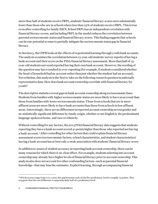more than half of students receive FRPL, students' financial literacy scores were substantially lower than those who are in schools where less than 25% of students receive FRPL. This is true even after controlling for family ESCS. School FRPL has an independent correlation with financial literacy scores, and including FRPL in the model reduces the correlation between parental socioeconomic status and financial literacy scores. This finding suggests that schools can be one potential avenue to partially mitigate the socioeconomic status gap in financial literacy.

In Section 5, the CFPB looks at the effects of experiential learning through youth bank accounts. The analysis examines the correlation between 15-year-old students' survey reports of having a bank account and their score on the PISA financial literacy assessment. More than half of 15 year-old students surveyed reported having their own bank account. However,the wording of the question may have resulted in over-reporting (for example, if students considered whether the head of household had an account rather than just whether the student had an account). Nevertheless, this analysis is the first to take on the following research question in nationally representative data:How does bank account ownership correlate with financial literacy for youth?

The descriptive statistics reveal gaps in bank account ownership along socioeconomic lines. Students from families with higher socioeconomic status are more likely to have an account than those from families with lower socioeconomic status. Those from schools that are in more affluent areas are more likely to have bank accounts than those from schools in less affluent areas.Interestingly, there are no differences in reported account ownership across gender and no statistically significant difference by family origin, whether or not English is the predominant language spoken at home, and race or ethnicity.

Without controlling for any factors, the 2015 PISA financial literacy data suggests that students reporting they have a bank account scored 41 points higher than those who reported not having a bank account.[4](#page-4-0)After controlling for other factors that could explain financial literacy assessment scores (socioeconomic factors, school characteristics, and student characteristics) having a bank account has at best only a weak association with students' financial literacy score.

In addition to issues of student accuracy in reporting bank account ownership, there can be many reasons for which there is no clear effect. For example, students selecting into account ownership may already have higher levels of financial literacy prior to account ownership. This analysis also does not account for other confounding factors--such as parental financial knowledge--that may bias the estimates. Explicit learning, through accompanying financial

<span id="page-4-0"></span> <sup>4</sup> Wh ile scores range from 0 to 1,000, the gap between each of the five proficiency level is roughly 75 points. This su g gests that the raw difference is approximately half of a proficiency level.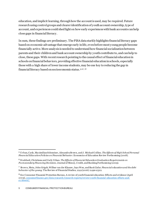education, and implicit learning, through how the account is used, may be required. Future research using control groups and clearer identification of youth account ownership, type of account, and experiences could shed light on how early experiences with bank accounts can help close gaps in financial literacy.

In sum, these findings are preliminary. The PISA data starkly highlights financial literacy gaps based on economic advantage that emerge early in life, even before most young people become financially active. More analysis is needed to understand how financial socialization between parents and their children and bank account ownership by youth contribute to, and can help to close, these gaps. With recent research pointing to the causal effect of financial education in schools on financial behaviors, providing effective financial education in schools, especially those with a high share of lower income students, may be one key to reducing the gap in financial literacy based on socioeconomic status. [5](#page-5-0),[6,](#page-5-1)[7](#page-5-2) ,[8](#page-5-3)

<span id="page-5-0"></span> <sup>5</sup> Ur ban, Carly, Ma ximilian Schmeiser, Alexandra Br own, and J. Michael Collins. *TheEffects of High School Personal Financial Education Policies on Financial Behavior.* Economics of Edu cation Rev iew Forthcoming (2018).

<span id="page-5-1"></span><sup>6</sup> Stoddard, Christiana and Carly Urban. *The Effects of Financial Education Graduation Requirements on Postsecondary Financing Decisions*. Journal of Mon ey, Credit, and Ba nking Forthcoming (2019).

<span id="page-5-2"></span><sup>7</sup> Br ow n, Meta, John Grigsb, Wilbur van der Klaauw, Jaya Wen, and Ba sit Zafar. *Financial education and the debt behavior of the young*. The Rev iew of Financial Studies, 29.9 (2016): 2490-2522.

<span id="page-5-3"></span><sup>8</sup> *See* Consumer Financial Protection Bureau, A rev iew of youth financial education: Effects and evidence (April 2 019)[, consumerfinance.gov/data-research/research-reports/review-y outh-financial-education-effects-and](https://www.consumerfinance.gov/data-research/research-reports/review-youth-financial-education-effects-and-evidence/)[ev idence/.](https://www.consumerfinance.gov/data-research/research-reports/review-youth-financial-education-effects-and-evidence/)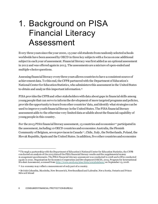## <span id="page-6-0"></span>1. Background on PISA Financial Literacy Assessment

Every three years since the year 2000, 15-year-old students from randomly selected schools worldwide have been assessed by OECD in three key subjects with a focus on one additional subject in each year of assessment. Financial literacy was first added as an optional assessment in 2012 and was offered againin 2015. The assessments are a mixture of open-ended and multiple-choice questions.

Assessing financial literacy every three years allows countries to have a consistent source of achievement data. To this end, the CFPB partnered with the Department of Education's National Center for Education Statistics, who administers this assessment in the United States to obtain and analyze this important information.[9](#page-6-1)

PISA provides the CFPBand other stakeholders with data about gaps in financial skills among young people that can serve to inform the development of more targeted programs and policies, provide the opportunity to learn from other countries' data, and identify what strategies can be used to improve youth financial literacy in the United States. The PISA financial literacy assessment adds to the otherwise very limited data available about the financial capability of young people in this country.

For the 2015 PISA financial literacy assessment, 15 countries and economies<sup>10</sup> participated in the assessment, including 10 OECD countries and economies: Australia, the Flemish Community of Belgium, seven provinces in Canada<sup>11</sup>, Chile, Italy, the Netherlands, Poland, the Slovak Republic, Spainand the United States.In addition, five other countries and economies

<span id="page-6-1"></span> <sup>9</sup> Th rough a partnership with the Department of Education's National Center for Education Statistics, the CFPB con ducted an analysis of the 2015 data of the PISA financial literacy r esults and the supplemental money m anagement questionnaire. The PISA Financial Literacy assessment was conducted in 2018 and will be conducted a g ain in 2021. Organization for Economic Cooperation and Dev elopment (OECD), 2015, Program for In ternational Stu dent Assessment, a ccessed fro[m http://www.oecd.org/pisa/data/2015database/](http://www.oecd.org/pisa/data/2015database/) on September 13, 2018.

<span id="page-6-2"></span><sup>&</sup>lt;sup>10</sup> An economy may reflect a measurement of only part of a country.

<span id="page-6-3"></span><sup>11</sup> Br itish Columbia, Ma nitoba, New Brunswick, Newfoundland and Labrador, Nov a Scotia, Ontario and Prince Edw ard Island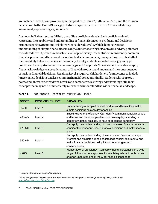are included: Brazil, four provinces/municipalities in China<sup>12</sup>, Lithuania, Peru, and the Russian Federation. In the United States, 5,712 students participated in the PISA financial literacy assessment, representing 177 schools.<sup>13</sup>

As shown in Table 1, scores fall into one of five proficiency levels. Each proficiency level represents the capability and understanding of financial concepts, products, and decisions. Students scoring 400 points or below are considered Level 1, which demonstrates an understanding of simple financial terms only. Students scoring between 400 and 474 points are considered Level 2, which is a baseline level of proficiency. These students can identify common financialproducts and terms and make simple decisions on everyday spending in contexts that they are likely to have experienced personally. Level 3 students score between 475and 549 points, and Level 4 students score between 550 and 624 points. These students are able to apply financial knowledge to a broader array of financial products and understand the consequences of various financial decisions. Reaching Level 4 requires a higher level of competence to include longer-range decisions and less common financial concepts. Finally, students who score 625 points and above are considered Level 5 and demonstrate a strong understanding of financial concepts that may not be immediately relevant and understand the wider financial landscape.

| <b>SCORE</b> | <b>PROFICIENCY LEVEL</b> | <b>CAPABILITY</b>                                                     |
|--------------|--------------------------|-----------------------------------------------------------------------|
| $~<$ 400     | Level 1                  | Understanding of simple financial products and terms. Can make        |
|              |                          | simple decisions on everyday spending.                                |
|              |                          | Baseline level of proficiency. Can identify common financial products |
| 400-474      | Level 2                  | and terms and make simple decisions on everyday spending in           |
|              |                          | contexts that they are likely to have experienced personally.         |
|              |                          | Can apply their understanding of commonly used financial concepts,    |
| 475-549      | Level 3                  | consider the consequences of financial decisions and make financial   |
|              |                          | plans.                                                                |
|              |                          | Can apply their understanding of less common financial concepts,      |
| 550-624      | Level 4                  | interpret and evaluate a range of detailed financial documents, and   |
|              |                          | make financial decisions taking into account longer-term              |
|              |                          | consequences.                                                         |
|              |                          | Highest level of proficiency. Can apply their understanding of a wide |
| >625         | Level 5                  | range of financial concepts to not immediately relevant contexts, and |
|              |                          | show an understanding of the wider financial landscape.               |

#### **TABLE 1:** PISA FINANCIAL CAPABILITY PROFICIENCY LEVELS

<span id="page-7-0"></span> <sup>12</sup> Beijing, Shanghai, Jiangsu, Guangdong

<span id="page-7-1"></span><sup>&</sup>lt;sup>13</sup> *See* Program for International Student A ssessment, Fr equently A sked Questions (2015) available at *[nces.ed.gov/surveys/pisa/faq.asp](http://www.nces.ed.gov/surveys/pisa/faq.asp)*.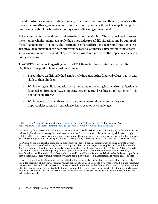In addition to the assessment, students also provide information about their experiences with money, personal backgrounds, schools, and learning experiences. School principals complete a questionnaire about the broader school system and learning environment.

PISA assessments are not directly linkedto the school curriculum. They are designed to assess the extent to which students can apply their knowledge to real-life situations and be equipped for full participation in society. The information collected through background questionnaires also provides context that can help interpret the results.Countries participating in successive surveys can compare their students'performance over time and assess the impact of education policy decisions.

The OECD's final report regarding the 2015 PISA financial literacy international results highlights three predominant considerations:<sup>14</sup>

- Parents have traditionally had a major role in transmitting financial values, habits, and skills to their children.  $15$
- While having a solid foundation in mathematics and reading is crucial for navigating the financial environment (e.g., computing percentages and reading a bank statement), it is not all that matters.<sup>16</sup>
- While access to financial services at a young age provides students with great opportunities to learn by experience, it also creates new challenges.<sup>17</sup>

<span id="page-8-0"></span> <sup>1 4</sup> *See* OECD, PISA 2015 Results, Students' Financial Literacy (Volume IV ) (2017) at 5-6, *available at* [oecd.org/finance/financial-education/pisa-2015-results-v olume-iv-9789264270282-en.htm](http://www.oecd.org/finance/financial-education/pisa-2015-results-volume-iv-9789264270282-en.htm).

<span id="page-8-1"></span><sup>&</sup>lt;sup>15</sup> PISA 2 015 data shows that students who have the chance to talk to their parents about money and savings also tend to h ave higher financial literacy. Bu t at the same time, the fact that students' financial literacy skills are strongly r elated to their socio-economic status or whether they, or their parents, are foreign-born, means that not all students h av e the same opportunities to a cquire financial literacy if they rely solely on what they can learn from their family.

<span id="page-8-2"></span><sup>1 6</sup> PISA 2 015 data highlights areas of comprehension unique to financial literacy, such as being aware that "some dea ls really are too g ood to be true," understanding the r ole of income tax, or being v igilant for fraudulent e-mails. Stu dents in top-performing countries and economies such a s the Flemish Community of Belgium, Beijing-Shanghai-Gu angdong (China), the participating Canadian prov idences (British Columbia, Manitoba, New Br unswick, New foundland and Labrador, Nov a Scotia, Ontario and Prince Edward Island) and the Russian Federation, perform better in financial literacy than predicted by the students' performance in mathematics and reading assessments.

<span id="page-8-3"></span><sup>1 7</sup> A s r ecognized by the G20 members, digital technologies can make financial services accessible to previously ex cluded segments of the population and young people, but can also g ive rise to n ew types of fraud, expose customers to da ta insecurity, and facilitate access to short-term credit and questionable digital offers. OECD concludes that it is v ital that y oung people have n ot only the knowledge and skills to start experimenting with the financial marketplace a n d begin to know its risks, but also that financial products and services—especially those targeted to minors—are sa fe a nd regulated.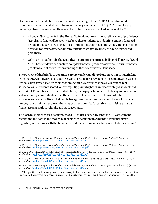Students in the United States scored around the average of the 10 OECD countries and economies that participated in the financial literacy assessment in 2015.<sup>18</sup> This was largely unchanged from the 2012 results where the United States also ranked in the middle.<sup>19</sup>

- About 22% of students in the United Statesdo not reach the baseline level of proficiency (Level 2) in financial literacy.[20](#page-9-2) At best, these students can identify common financial products and terms, recognize the difference between needs and wants, and make simple decisions on everyday spending in contexts that they are likely to have experienced personally.
- Only 10% of students in the United States are top performers in financial literacy (Level 5).[21](#page-9-3) These students can analyze complex financial products, solve non-routine financial problems and show an understanding of the wider financial landscape.

The purpose of this brief is to generate a greater understanding of one more important finding from the PISA data: Across all countries, and particularly prevalent in the United States, a gap in financial literacy is based on socioeconomic status.According to the OECD report, high socioeconomic students scored, on average, 89 points higher than disadvantaged students did across OECD countries.[22](#page-9-4) In the United States, the top quarter of households by socioeconomic status scored 97 points higher than those from the lowest quarter of households by socioeconomic status. Given that family background is such an important driver of financial literacy, this brief then explores the roles of three potential forces that may mitigate this gap: financial socialization, schools, and bank accounts.

To begin to explore these questions, the CFPBtook a deeper dive into the U.S. assessment results and the data in the money management questionnaire which is a student survey regarding interactions with the financial world that accompanies the financial literacy exam.[23](#page-9-5)

<span id="page-9-0"></span>l 1 8 *See* OECD, PISA 2015 *Results, Students' Financial Literacy: United States Country Notes (Volume IV)* (2017), *available at* [oecd.org/pisa/PISA-2105-Financial-Literacy-USA.pdf](http://www.oecd.org/pisa/PISA-2105-Financial-Literacy-USA.pdf).

<span id="page-9-1"></span><sup>1 9</sup> *See* OECD, PISA 2012 Results, *Students' Financial Literacy: United States Country Notes (Volume IV)* (2014), *available at* [oecd.org/unitedstates/PISA-2012-results-finlit-usa.pdf](http://www.oecd.org/unitedstates/PISA-2012-results-finlit-usa.pdf).

<span id="page-9-2"></span><sup>2 0</sup> *See* OECD, PISA 2015 Results, *Students' Financial Literacy: United States Country Notes (Volume IV)* (2017), *available at* [oecd.org/pisa/PISA-2105-Financial-Literacy-USA.pdf](http://www.oecd.org/pisa/PISA-2105-Financial-Literacy-USA.pdf).

<span id="page-9-3"></span><sup>2 1</sup> *See* OECD, PISA 2015 Results, *Students' Financial Literacy: United States Country Notes (Volume IV)* (2017), *available at* [oecd.org/pisa/PISA-2105-Financial-Literacy-USA.pdf](http://www.oecd.org/pisa/PISA-2105-Financial-Literacy-USA.pdf).

<span id="page-9-4"></span><sup>2 2</sup> *See* OECD, PISA 2015 Results, *Students' Financial Literacy: United States Country Notes* (Volume IV ) (2017), *available a*[t oecd.org/pisa/PISA-2105-Financial-Literacy-USA.pdf](http://www.oecd.org/pisa/PISA-2105-Financial-Literacy-USA.pdf).

<span id="page-9-5"></span><sup>2 3</sup> Th e questions in the money management survey include:whether or n ot the student has bank accounts; whether th e student has prepaid debt cards; students' attitudes towards saving, spending, and working; ways in which the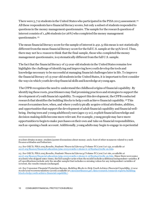There were 5,712 students in the United States who participated in the PISA 2015 assessment.<sup>[24](#page-10-0)</sup> All these respondents have financial literacy scores, but only a subset of students responded to questions in the money management questionnaire. The sample for the research question of interest consists of 1,486 students (or 26%) who completed the money management questionnaire.[25](#page-10-1)

The mean financial literacy score for the sample of interest is 491.5; this mean is not statistically different from the mean financial literacy score for the full U.S. sample at the 95% level. Thus, there may not be a reason to think that the final sample, those who completed the money management questionnaire, is systematically different from the full U.S. sample.

The fact that the financial literacy of 15-year-old students in the United States remains low highlights the challenge of identifying and improving how youth develop the tools and knowledge necessary to be successful at managing financial challenges later in life. To improve the financial literacy of 15-year-old students in the United States, it is important to first consider the ways in which youth develop financial skills and knowledge at young ages.

The CFPB recognizes the need to understand the childhood origins of financial capability. By identifying these roots, practitioners may find promising practices and strategies to support the development of youth financial capability. To support this development, the CFPB conducted research that identifies the building blocks to help youth achieve financial capability.<sup>[26](#page-10-2)</sup>This research examines how, when, and where youth typically acquire critical attributes, abilities, and opportunities that support the development of adult financial capability and financial wellbeing. During teen and young adulthood years (ages 13-21), explicit financial knowledge and decision-making skills become more relevant. For example, young people may have more opportunities to begin to make purchases on their own and take on financial responsibilities, such as opening a bank account. Additionally, young adults may begin to engage in experiential

l stu dent obtains money; student/parent discussions about money; and a host of other measures r elated to y outh fin ance a ttitudes and behaviors.

<span id="page-10-0"></span><sup>2 4</sup> *See* OECD, PISA 2015 Results, *Students' Financial Literacy* (Volume IV) (2017) a t 152, *available at* [oecd.org/finance/financial-education/pisa-2015-results-v olume-iv-9789264270282-en.htm](http://www.oecd.org/finance/financial-education/pisa-2015-results-volume-iv-9789264270282-en.htm).

<span id="page-10-1"></span><sup>2 5</sup> *See* OECD, PISA 2015 Results, *Students' Financial Literacy* (Volume IV) (2017) a t 160, *available at* [oecd.org/finance/financial-education/pisa-2015-results-v olume-iv-9789264270282-en.htm](http://www.oecd.org/finance/financial-education/pisa-2015-results-volume-iv-9789264270282-en.htm). Since there were some stu dents who skipped some items, the full sample varies when the model includes a dditional independent v ariables. If a ll specifications include only the smaller sample that includes n o missing values for any independent variables of in terest, the results remain unchanged.

<span id="page-10-2"></span><sup>2 6</sup> *See* Consumer Financial Protection Bureau, *Building Blocks to Help Youth Achieve Financial Capability: A new m odel and recommendations* (2016) *available at* [consumerfinance.gov /data-research/research-reports/building](https://www.consumerfinance.gov/data-research/research-reports/building-blocks-help-youth-achieve-financial-capability/)[blocks-help-y outh-achieve-financial-capability/.](https://www.consumerfinance.gov/data-research/research-reports/building-blocks-help-youth-achieve-financial-capability/)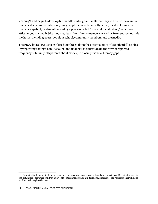learning<sup>[27](#page-11-0)</sup> and begin to develop firsthand knowledge and skills that they will use to make initial financial decisions. Even before young people become financially active, the development of financial capability is also influenced by a process called "financial socialization," which are attitudes, norms and habits they may learn from family members as well as from sources outside the home, including peers, people at school, community members, and the media.

The PISA data allowsus to explore hypotheses about the potential roles of experiential learning (by reporting having a bank account) and financial socialization (in the form of reported frequency of talking with parents about money) in closing financial literacy gaps.

l

<span id="page-11-0"></span><sup>2 7</sup> Ex periential learning is the process of deriving meaning from direct or hands-on experiences. Experiential learning oppor tunities encourage children and youth to take initiative, make decisions, experience the results of their choices, a n d learn through reflection.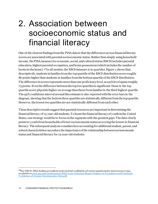## <span id="page-12-0"></span>2. Association between socioeconomic status and financial literacy

One of the clearest findings from the PISA data is that the differences across financial literacy scores are associated with parental socioeconomic status. Rather than simply using household income, the PISA measure for economic, social, and cultural status (ESCS) includes parental education, highest parental occupation, and home possessions (which includes the number of books in the home).[28](#page-12-1) In all models, the ESCS measure is in quartiles. Figure 1 shows that, descriptively, students in families from the top quartile of the ESCS distribution score roughly 86 points higher than students in families from the bottom quartile of the ESCS distribution. The difference in scores represents more than one proficiency level, as each level spans roughly 75 points. Even the difference between the top two quartiles is significant: those in the top quartile score 58 points higher on average than those from families in the third highest quartile. The 95% confidence interval around this estimate is also reported with the error bars in the diagram, showing that the bottom three quartiles are statistically different from the top quartile. However, the lowest two quartiles are not statistically different from each other.

These descriptive trends suggest that parental resources are important in determining the financial literacy of 15-year-old students. To boost the financial literacy of youthin the United States, one strategy would be to focus on the segments with the greatest gaps. The data clearly points to youth from households of lower socioeconomic status as scoring the lowest in financial literacy. The subsequent analysis considers how accounting for additional student, parent, and school characteristics can reduce the importance of the relationship between socioeconomic status and financial literacy for 15-year-old students.

<span id="page-12-1"></span> <sup>28</sup>*See* OECD, *PISA Scaling procedures and construct validation of context questionnaire data* (2015) a t 339, *available at* [oecd.org/pisa/sitedocument/PISA-2015-Technical-Report-Chapter-16-Procedures-and-Construct-](https://www.oecd.org/pisa/sitedocument/PISA-2015-Technical-Report-Chapter-16-Procedures-and-Construct-Validation-of-Context-Questionnaire-Data.pdf)[V a lidation-of-Context-Questionnaire-Data.pdf](https://www.oecd.org/pisa/sitedocument/PISA-2015-Technical-Report-Chapter-16-Procedures-and-Construct-Validation-of-Context-Questionnaire-Data.pdf).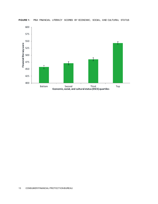

#### **FIGURE 1:** PISA FINANCIAL LITERACY SCORES BY ECONOMIC, SOCIAL, AND CULTURAL STATUS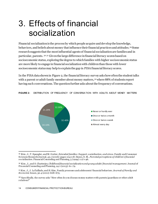### <span id="page-14-0"></span>3. Effects of financial socialization

Financial socialization is the process by which people acquire and develop the knowledge, behaviors, and beliefs about money that influence their financial practices and attitudes.<sup>[29](#page-14-1)</sup> Some research suggests that the most influential agents of financial socialization are families and in particular, parents. [30](#page-14-2),[31](#page-14-3) Given the large difference in financial literacy scores based on socioeconomic status, exploring the degree to which families with higher socioeconomic status are more likely to engage in financial socialization with children than those with lower socioeconomic status may help to explain the gap in PISA financial literacy scores.

In the PISA data shown in Figure 2, the financial literacy survey asks how often the student talks with a parent or adult family member about money matters, <sup>[32](#page-14-4)</sup> where 88% of students report having such conversations. The question further asks about the frequency of conversations.

#### **FIGURE 2:** DISTRIBUTION OF FREQUENCY OF CONVERSA TION WITH ADULTS ABOUT MONEY MATTERS



<span id="page-14-1"></span> <sup>29</sup> Kim , J., T. Spangler, and M. Gutter, *Extended families: Support, socialization, and stress*. Family and Consumer Sciences Research Journal, 45.1 (2016): pages 104-118. Danes, S. M., *Parental perceptions of children's financial socialization*. Financial Counseling and Planning, 5 (1994): 127-146.

<span id="page-14-2"></span><sup>30</sup> Kim , J., and S. Chatterjee, *Childhood financial socialization and young adults' financial m anagement*. Journal of Fin ancial Counseling and Planning, *24*.1 (2013): 61–79.

<span id="page-14-3"></span><sup>31</sup> Kim , J., J. LaTaillade, and H. Kim, Family processes and a dolescents' financial behaviors. *Journal of Fam ily and Economic Issues*, *32*.4 (2011):668–679.

<span id="page-14-4"></span><sup>32</sup> Specifically, the survey asks "How often do y ou discuss money matters with parents/guardians or other a dult r elatives?"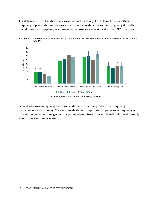The data revealsno clear differences in individual-or family-level characteristics with the frequency of parental conversations across a number of dimensions. First, Figure 3 shows there is no difference in frequency of conversations across socioeconomic status or ESCS quartiles.

**FIGURE 3:** DIFFERENCES ACROSS ESCS QUARTILES IN THE FREQUENCY OF CONVERSATIONS ABOUT





Second, as shown in Figure 4, there are no differences across gender in the frequency of conversations about money. Male and female students report similar patterns in frequency of parental conversations, suggesting that parents do not treat male and female children differently when discussing money matters.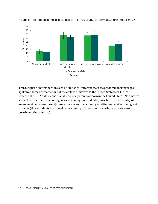

**FIGURE 4:** DIFFERENCES ACROSS GENDER IN THE FREQUENCY OF CONVERSATIONS ABOUT MONEY

Third, Figure 5 shows there are also no statistical differences across predominant languages spoken at home or whether or not the child is a "native" to the United States (see Figure 6), which in the PISA data means that at least one parent was born in the United States. Non-native students are defined as second-generation immigrant students (those born in the country of assessment but whose parent[s] were born in another country) and first-generation immigrant students (those students born outside the country of assessment and whose parents were also born in another country).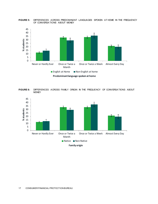

**FIGURE 5:** DIFFERENCES ACROSS PREDOMINANT LANGUAGES SPOKEN AT HOME IN THE FREQUENCY OF CONVERSA TIONS ABOUT MONEY



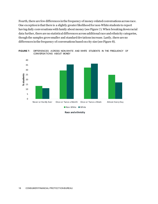Fourth, there are few differences in the frequency of money-related conversations across race. One exception is that there is a slightly greater likelihood for non-White students to report having daily conversations with family about money (see Figure 7). When breaking down racial data further, there are no statistical differences across additional race and ethnicity categories, though the samples grow smaller and standard deviations increase. Lastly, there are no differences in the frequency of conversations based on city size (see Figure 8).



**FIGURE 7:** DIFFERENCES ACROSS NON-WHITE AND WHITE STUDENTS IN THE FREQUENCY OF CONVERSATIONS ABOUT MONEY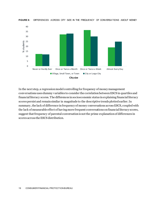

**FIGURE 8:** DIFFERENCES ACROSS CITY SIZE IN THE FREQUENCY OF CONVERSA TIONS ABOUT MONEY

In the next step, a regression model controlling for frequency of money management conversations uses dummy variables to consider the correlation between ESCS in quartiles and financial literacy scores. The differences in socioeconomic status in explaining financial literacy scores persist and remain similar in magnitude to the descriptive trends plotted earlier. In summary, the lack of difference in frequency of money conversations across ESCS, coupled with the lack of measurable effect of having more frequent conversations on financial literacy scores, suggest that frequency of parental conversation is not the prime explanation of differences in scores across the ESCS distribution.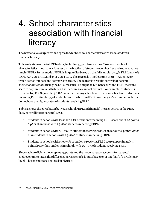## <span id="page-20-0"></span>4. School characteristics association with financial literacy

The next analysis explores the degree to which school characteristics are associated with financial literacy.

This analysis uses the full PISA data, including 5,330 observations. To measure school characteristics, the analysis focuses on the fraction of students receiving free and reduced-price lunch (FRPL). In the model, FRPL is in quartiles based on the full sample: 0-25% FRPL, 25-50% FRPL, 50-75% FRPL, and over 75% FRPL. The regression models omit the 25-75% category, which acts as our baseline comparison group. The regression results control for parental socioeconomic status using the ESCS measure. Though the ESCS measure and FRPL measure seem to capture similar attributes, the measures are in fact distinct. For example, of students from the top ESCS quartile, 50.8% are not attending schools with the fewest fraction of students receiving FRPL. Similarly, of students from the bottom ESCS quartile, 52.1% attend schools that do not have the highest rates of students receiving FRPL.

Table 2 shows the correlation between school FRPL and financial literacy scores in the PISA data, controlling for parental ESCS.

- Students in schools with less than 25% of students receiving FRPLscore about 20 points *higher* than those with 25-50% students receiving FRPL
- Students in schools with 50-75% of students receiving FRPL score about 34 points *lower* than students in schools with 25-50% of students receiving FRPL
- Students in schools with over 75% of students receiving FRPL score approximately 43 points *lower*than students in schools with 25-50% of students receiving FRPL

Since each proficiency level spans 75 points and the model already accounts for parental socioeconomic status, this difference across schools is quite large: over one-half of a proficiency level. These results are depicted in Figure 9.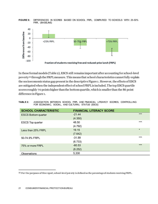

**FIGURE 9:** DIFFERENCES IN SCORES BASED ON SCHOOL FRPL, COMPA RED TO SCHOOLS WITH 25-50% FRPL (BASELINE)

In these formal models (Table 2), ESCS still remains important after accounting for school-level poverty[33](#page-21-0) through the FRPL measure. This means that school characteristics cannot fully explain the socioeconomic status gap present in the descriptive Figure 1. However, the effects of ESCS are mitigatedwhen the independent effect of school FRPL is included. The top ESCS quartile scores roughly 70 points higher than the bottom quartile, which is smaller than the 86 point difference in Figure 1.

| <b>SCHOOL CHARACTERISTIC</b> | <b>FINANCIAL LITERACY SCORE</b> |         |
|------------------------------|---------------------------------|---------|
| <b>ESCS Bottom quarter</b>   | $-21.44$                        | $***$   |
|                              | (4.350)                         |         |
| <b>ESCS Top quarter</b>      | 48.50                           | $***$   |
|                              | (4.792)                         |         |
| Less than 25% FRPL           | 19.15                           | $\star$ |
|                              | (7.642)                         |         |
| 50-74.9% FRPL                | $-31.99$                        | $***$   |
|                              | (6.733)                         |         |
| 75% or more FRPL             | $-60.53$                        | $***$   |
|                              | (8.252)                         |         |
| Observations                 | 5,330                           |         |

**TABLE 2:** ASSOCIATION BETWEEN SCHOOL FRPL AND FINANCIAL LITEARCY SCORES, CONTROLLING FOR ECONOMIC, SOCIAL, AND CULTURAL STATUS (ESCS)

<span id="page-21-0"></span> <sup>33</sup> For the purposes of this r eport, school-level pov erty is defined as the percentage of students receiving FRPL.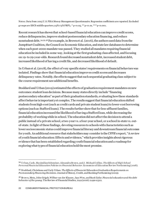Notes: Da ta from 2015 U.S. PISA Mon ey Management Questionnaire. Regression coefficients are r eported. Ex cluded g r oups are ESCS middle quarters; 25%-7 5% FRPL; \* p<0.05, \*\* p<0.01, \*\*\* p<0.001.

Recent research has shown that school-based financial education can improve credit scores, reduce delinquencies, improve student postsecondary education financing, and reduce nonstudent debt.<sup>[34,](#page-22-0)[35](#page-22-1),[36](#page-22-2)</sup> For example, in Brown et al. (2016), the authors used data from the Jump\$tart Coalition, the Council on Economic Education, and state law databases to determine when each post-2000 mandate was passed. They studied all mandates requiring financial education be included in some way, looking at the first graduating class affected, and focusing on 19-to 29-year-olds. Research found decreasednonstudent debt, increased student debt, increasedlikelihood of having a credit file, and decreased likelihood of default.

In Urban et al.  $(2018)$ , the effect of very specific states' requirements on financial behaviors was isolated. Findings show that financial education improves credit scores and decreases delinquency rates. Notably, the effects suggest that each sequential graduating class subject to the course requirement saw additional benefits.

Stoddard and Urban (2019) estimated the effects of graduation requirement mandates on new outcomes: student loan decisions. Because many states directly include "financing postsecondary education" as part of their graduation standards, evaluating how these standards affect behavior is important yet complex. The results suggest that financial education shifted students from high-cost (such as credit cards and private student loans) to lower-cost borrowing options (such as Stafford loans). The results further show that for less-affluent families, financial education increased the likelihood of having a Stafford loan, while decreasing the probability of working while in school. The education did not affect the decision to attend a public instead of a private school, a two-year vs. a four-year school, or a school in-state vs. outof-state. In light of these findings, devoting resources to schools with characteristics such as lower socioeconomic status could improve financial literacy and downstream financial outcomes for youth. An additional resource that stakeholders may consider is the CFPB's report, "A review of youth financial education: Effects and evidence," which provides insights about rigorous evidence that has been established regarding youth financial education and a roadmap for exploring what types of financial education hold the most promise.

<span id="page-22-0"></span> <sup>34</sup> Ur ban, Carly, Ma ximilian Schmeiser, Alexandra Br own, and J. Michael Collins. *The Effects of High School Personal Financial Education Policies on Financial Behavior*. Economics of Edu cation Rev iew Forthcoming (2018).

<span id="page-22-1"></span><sup>35</sup> Stoddard, Christiana and Carly Urban. *The Effects of Financial Education Graduation Requirements on Postsecondary Financing Decisions*. Journal of Mon ey, Credit, and Ba nking Forthcoming (2019).

<span id="page-22-2"></span><sup>36</sup> Br ow n, Meta, John Grigsb, Wilbur van der Klaauw, Jaya Wen, and Ba sit Zafar. *Financial education and the debt behavior of the young.* The Rev iew of Financial Studies, 29.9 (2016): 2490-2522.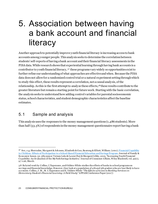## <span id="page-23-0"></span>5. Association between having a bank account and financial literacy

Another approach to potentially improve youth financial literacy is increasing access to bank accounts among younger people. This analysis seeks to determine the correlation between students' self-reports of having a bank account and their financial literacy assessments in the PISA data. While research shows that experiential learning throughhavingbank accounts is a contributor to youth financial literacy, [37](#page-23-2) these programs vary widely so opportunities exist to further refine our understanding of what approaches are effective and when. Because the PISA data doesnot allow for a randomized control trial or a natural experiment setting through which to study this effect, these results represent a correlation, not a causal analysis, of the relationship. As this is the first attempt to analyze these effects,[38](#page-23-3) these results contribute to the greater literature but remain a starting point for future work. Starting with the basic correlation, the analysis seeks to understand how adding control variables for parental socioeconomic status, school characteristics, and student demographic characteristics affect the baseline estimates.

### <span id="page-23-1"></span>5.1 Sample and analysis

This analysis uses the responses to the money management questions (1,486 students). More than half (53.3%) of respondents in the money management questionnaire report having a bank

<span id="page-23-2"></span><sup>37</sup> See, e.g. Sherraden, Margaret & Johnson, Elizabeth & Guo, Ba orong & Elliott, William. (2011). Financial Capability [in Children: Effects of Pa rticipation in a School-Based Financial Education and Savings](https://openscholarship.wustl.edu/cgi/viewcontent.cgi?article=1641&context=csd_research) Program. Journal of Family & Econ omic Issues. 32. 385-399 or Vernon Loke & La ura Choi & Ma rgaret Libby, 2015. "In creasing Youth Financial Ca pability: An Ev aluation of the My Path Savings In itiative," Journal of Consumer A ffairs, Wiley Blackwell, vol. 49(1), 9 7 -126, March.

<span id="page-23-3"></span><sup>3 8</sup> Rela ted work by Collins, L'Esperance, and Odders-White studies the effects of banks in school programs on sa v ings and financial knowledge. However, they look at a population of 4 th and 5th graders who are less likely to have a ccounts. Collins, J. M., M. L'Esperance and E. Odders-White *"The Effects of Access to Banking Services on Elem entary Student's Financial Learning: A Field Study"* A PPAM Conference Paper (2017)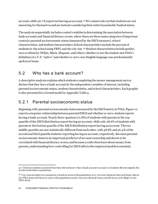account, while 46.7% report not having an account.[39](#page-24-1)We cannot rule out that students are not answering for themselves and are instead considering their entire households' banked status.

The analysis sequentially includes control variables in determining the association between bank accounts and financial literacy scores, where there are three main categories of important controls: parental socioeconomic status (measured by the ESCS measure), school characteristics, and student characteristics. School characteristics include the percent of students in the school using FRPL and the city size.<sup>[40](#page-24-2)</sup> Student characteristics include gender, race or ethnicity (White, Black, Hispanic, and other), whether or not the student met PISA's definition of a U.S. "native" and whether or not a non-English language was predominantly spoken at home.

#### <span id="page-24-0"></span>5.2 Who has a bank account?

A descriptive analysis explains which students completing the money management survey declare that they have a bank account by the independent variables of interest, including parental socioeconomic status, student characteristics, and school characteristics. Each graphic is also presented in a formal model in Appendix Table 5.

#### 5.2.1 Parental socioeconomic status

Beginning with parental socioeconomic statusmeasured by the ESCS metric in PISA, Figure 10 reports a stepwise relationship between parental ESCS and whether or not a student reports having a bank account. Nearly three-quarters (72.8%) of students with parents in the top quartile of the ESCS distribution report having an account, while only 28.6% of students with parents in the bottom quartile of the ESCS distribution report having an account. The two middle quartiles are not statistically different from each other, with 48.8% and 56.4% of the second and third quartile students reporting having an account, respectively. Because parental socioeconomic status is an important predictor of account ownership and shown to be correlated with financial literacy scores, and because youth often learn about money from parents, understanding how controlling for ESCS affects the empirical models is essential.

<span id="page-24-1"></span>l 3 9 Th irteen students answered that they did not know what a bank account was and 172 students did not respond; the m odel omits these respondents.

<span id="page-24-2"></span><sup>40</sup> City sizes includes two categories: schools in areas with populations ov er 100,000 (deemed cities and large cities in th e PISA data) and those in areas with populations under 100,000 (deemed towns, small towns, a nd villages in the PISA data).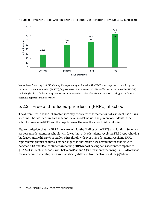

**FIGURE 10:** PARENTAL ESCS AND PERCENTAGE OF STUDENTS REPORTING OWNING A BANK ACCOUNT

Notes: Da ta from 2015 U.S. PISA Mon ey Management Questionnaire. The ESCS is a composite score built by the in dicators parental education (PARED), highest parental occupation (HISEI), and home possessions (HOMEPOS) in cluding books in the home via principal component analysis. The effect sizes are reported with 95% confidence in tervals depicted in the error bars.

### 5.2.2 Free and reduced-price lunch (FRPL) at school

The differences in school characteristics may correlate with whether or not a student has a bank account. The two measures at the school-level model include the percent of students in the school who receive FRPL and the population of the area the school districtitis in.

Figure 10 depicts that the FRPL measure mimics the finding of the ESCS distribution. Seventysix percent of students in schools with fewer than 25% of students receiving FRPL report having bank accounts, while 29% of students in schools with over 75% of students receiving FRPL report having bank accounts. Further, Figure 11 shows that 59% of students in schools with between 25% and 50% of students receiving FRPL report having bank accounts compared to 48.7% of students in schools with between 50% and 75% of students receiving FRPL. All of these mean account ownership rates are statistically different from each other at the 95% level.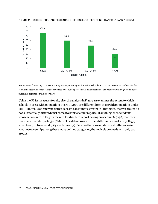

**FIGURE 11:** SCHOOL FRPL AND PERCENTAGE OF STUDENTS REPORTING OWNING A BANK ACCOUNT

Notes: Da ta from 2015 U.S. PISA Mon ey Management Questionnaire. School FRPL is the percent of students in the stu dent's attended school that receive free or reduced price lunch. The effect sizes are reported with 95% confidence in tervals depicted in the error bars.

Using the PISA measures for city size, the analysis in Figure 12 examines the extent to which schools in areas with populations over 100,000 are different from those with populations under 100,000. While one may posit that access to accounts is greater in large cities, the two groups do not substantially differ when it comes to bank account reports. If anything, those students whose schools are in larger areas are less likely to report having an account (47.4%) than their more rural counterparts (56.7%) are. The data allows a further differentiation of size (village, small town, or town) and (city and large city). Because there are no statistical differences in account ownership among these more defined categories, the analysis proceeds with only two groups.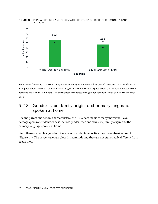

**FIGURE 12:** POPULA TION SIZE AND PERCENTA GE OF STUDENTS REPORTING OWNING A BANK ACCOUNT

Notes: Da ta from 2015 U.S. PISA Mon ey Management Questionnaire. Village, Small Town, or Town include areas w ith populations less than 100,000. City or Large City include areas with populations ov er 100,000. These are the designations from the PISA data. The effect sizes are reported with 95% confidence intervals depicted in the error ba r s.

#### 5.2.3 Gender, race, family origin, and primary language spoken at home

Beyond parent and school characteristics, the PISA data includesmany individual-level demographics of students. These include gender, race and ethnicity, family origin, and the primary language spoken at home.

First, there are no clear gender differences in students reporting they have a bank account (Figure 13). The percentages are close in magnitude and they are not statistically different from eachother.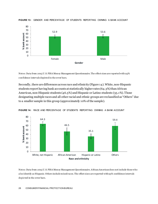

**FIGURE 13:** GENDER AND PERCENTAGE OF STUDENTS REPORTING OWNING A BANK ACCOUNT

Notes: Da ta from 2015 U.S. PISA Mon ey Management Questionnaire. The effect sizes are r eported with 95% con fidence intervals depicted in the error bars.

Secondly, there are differences across race and ethnicity (Figure 14). White, non-Hispanic students report having bank accounts at statistically higher rates (64.3%) than African American, non-Hispanic students (46.5%) and Hispanic or Latino students (35.1%). Those designating multiple races and all other racial and ethnic groups are reclassified as "Others" due to a smaller sample in this group (approximately 10% of the sample).



**FIGURE 14:** RACE AND PERCENTAGE OF STUDENTS REPORTING OWNING A BANK ACCOUNT

Notes: Da ta from 2015 U.S. PISA Mon ey Management Questionnaire. A frican American does not include those who a lso identify as Hispanic. Others include mixed races. The effect sizes are reported with 95% confidence intervals depicted in the error bars.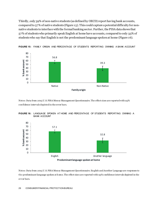Thirdly, only 39% of non-native students (as defined by OECD) report having bank accounts, compared to 57% of native students (Figure 15). This could capture a potential difficulty for nonnative students to interface with the formal banking sector. Further, the PISA data shows that 57% of students who primarily speak English at home have accounts, compared to only 33% of students who say that English is not the predominant language spoken at home (Figure 16).



**FIGURE 15:** FAMILY ORIGIN AND PERCENTAGE OF STUDENTS REPORTING OWNING A BANK ACCOUNT

Notes: Da ta from 2015 U.S. PISA Mon ey Management Questionnaire. The effect sizes are r eported with 95% con fidence intervals depicted in the error bars.





Notes: Da ta from 2015 U.S. PISA Mon ey Management Questionnaire. En glish and Another Language are responses to th e predominant language spoken at h ome. The effect sizes are r eported with 95% confidence intervals depicted in the er r or bars.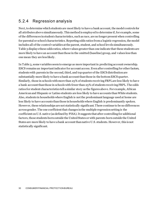### 5.2.4 Regression analysis

Next, to determine which students are most likely to have a bank account, the model controls for all attributes above simultaneously. This method is employed to determine if, for example, some of the differences in student characteristics, such as race, are no longer present when controlling for parental or school characteristics. Reporting odds ratios from a logistic regression, the model includes all of the control variables at the parent, student, and schoollevels simultaneously. Table 3 displays these odds ratios, where values greater than one indicate that these students are more likely to have an account than those in the omitted (baseline) group, and values less than one mean they are less likely.

In Table 3, some variables seem to emerge as more important in predicting account ownership. ESCS remains an important indicator for account access. Even after controlling for other factors, studentswith parents in the second, third, and top quarter of the ESCS distribution are substantially more likely to have a bank account than those in the bottom ESCS quarter. Similarly, those in schools with more than 25% of students receiving FRPL are less likely to have a bank account than those in schools with fewer than 25% of students receiving FRPL. The odds ratios for student characteristics tell a similar story as the figures above. For example, African American and Hispanic or Latino students are less likely to have accounts than White students. Also, students in households where English is not the predominant language used at home are less likely to have accounts than those in households where English is predominantly spoken. However, these relationships are not statistically significant. There continue to be no differences across gender. The one coefficient that changes in the multiple regression setting is the coefficient on U.S. native (as defined by PISA). It suggests that after controlling for additional factors, those students born outside the United States or with parents born outside the United States are more likely to have a bank account than native U.S. students. However, this is not statistically significant.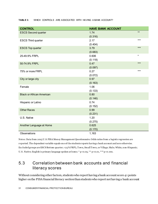#### **TABLE 3:** WHICH CONTROLS ARE ASSOCATED WITH HAVING A BANK ACCOUNT?

| <b>CONTROL</b>                   | <b>HAVE BANK ACCOUNT</b> |         |
|----------------------------------|--------------------------|---------|
| <b>ESCS Second quarter</b>       | 1.74                     | $***$   |
|                                  | (0.316)                  |         |
| <b>ESCS Third quarter</b>        | 2.17                     | $***$   |
|                                  | (0.404)                  |         |
| <b>ESCS Top quarter</b>          | 3.79                     | $***$   |
|                                  | (0.683)                  |         |
| 25-49.9% FRPL                    | 0.606                    | $\star$ |
|                                  | (0.118)                  |         |
| 50-74.9% FRPL                    | 0.47                     | $***$   |
|                                  | (0.097)                  |         |
| 75% or more FRPL                 | 0.27                     | $***$   |
|                                  | (0.072)                  |         |
| City or large city               | 0.97                     |         |
|                                  | (0.163)                  |         |
| Female                           | 1.06                     |         |
|                                  | (0.133)                  |         |
| <b>Black or African American</b> | 0.80                     |         |
|                                  | (0.146)                  |         |
| Hispanic or Latino               | 0.74                     |         |
|                                  | (0.152)                  |         |
| <b>Other Races</b>               | 0.99                     |         |
|                                  | (0.231)                  |         |
| U.S. Native                      | 1.20                     |         |
|                                  | (0.275)                  |         |
| Another Language at Home         | 0.625                    |         |
|                                  | (0.170)                  |         |
| Observations                     | 1,163                    |         |

Notes: Da ta from 2015 U.S. PISA Mon ey Management Questionnaire. Odds ratios from a logistic regression are r eported. The dependent variable equals on e of the students r eports having a bank account and zero otherwise. Ex cluded groups are ESCS Bottom quarter; <25% FRPL; Town, Small Town, or Village; Male; White, n on-Hispanic; U.S. Native; English is primary language spoken at h ome. \* p<0.05, \*\* p<0.01, \*\*\* p<0.001.

### <span id="page-31-0"></span>5.3 Correlation between bank accounts and financial literacy scores

Without considering other factors, students who report having a bank account score 41 points higher on the PISA financial literacy sectionthan students who report not having a bank account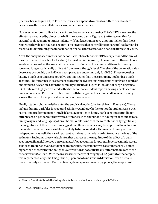(the first bar in Figure 17).[41](#page-32-0) This difference corresponds to almost one-third of a standard deviation in the financial literacy score, which is a sizeable effect.

However, when controlling for parental socioeconomic statususing PISA's ESCS measure, the effect size is reduced by almost one half (the second bar in Figure 17). After accounting for parental socioeconomic status, students with bank accounts score 21 points higher than those reporting they do not have an account. This suggests that controlling for parental background is essential in determining the importance of financial interactions on financial literacy for youth.

Next, the analysis accounts for two school-level characteristics: FRPL recipients and the size of the city in which the school is located (the third bar in Figure 17). Accounting for these schoollevel variables makes the association between having a bank account and financial literacy scores no longer statistically different from zero at the 95% level. The size of the correlation also decreases by roughly one half when compared to controlling only for ECSC. Those reporting having a bank account score roughly 11 points higher than those reporting not having a bank account. The difference in assessment scores in the two groups represents roughly one-tenth of one standard deviation. Given the summary statistics in Figure 11, this is not surprising since FRPL rates are highly correlated with whether or not a student reports having a bank account. Since school-level FRPL is correlated with both having a bank account and financial literacy scores, the control is important to include in the analysis.

Finally, student characteristics enter the empirical model (the fourth bar in Figure 17). These include dummy variables for race and ethnicity, gender, whether or not the student was a U.S. native, and predominant non-English language spoken at home. Bank account status did not differ based on gender but there were differences in the likelihood of having an account by race, family origin, and language spoken at home. While none of these were statistically significant, the magnitudes of the correlations suggest that these variables may be important to include in the model. Because these variables are likely to be correlated with financial literacy scores independently as well, they are important variables to include in order to reduce the bias of the estimates.Including these variables further decreases the magnitude of the effect of a bank account on financial literacy performance. After accounting for parental socioeconomic status, school characteristics, and student characteristics, the students with accounts score 9 points higher than those without, though this correlation is not statistically different from zero at the conservative 90% level. With mean assessment scores at roughly 491.5 points for the sample, this represents a very small magnitude (6 percent of one standard deviation) even if it were more precisely estimated.Each proficiency level spans a range of 75 points, thus reports of

l

<span id="page-32-0"></span><sup>4 1</sup> Resu lts from the full model including all controls and in table format are in Appendix Table 5.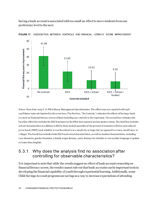having a bank account is associated with too small an effect to move students from one proficiency level to the next.



**FIGURE 17:** ASSOCIATION BETWEEN CONTROLS AND FINANCIAL LITERA CY SCORE IMPROV EMENT

Notes: Da ta from 2015 U.S. PISA Mon ey Management Questionnaire. The effect sizes are r eported with 95% con fidence intervals depicted in the error bars. The first bar, " No Controls," estimates the effects of having a bank a ccount on financial literacy scores without including any controls in the regression. The second bar estimates the ba seline effect but includes the ESCS measure in the PISA that captures socioeconomic status. The third bar includes sch ool characteristics in a ddition to ESCS; these include quartiles of the percent of students with free and r educed pr ice lunch (FRPL) and whether or n ot the school is in a small city or large city (as opposed to a town, small town, or v illage). The fourth bar includes both ESCS and school characteristics, as well as student characteristics, including r a ce dummies, gender dummies, a family or igin dummy, and a dummy for whether or not another language is spoken a t h ome than English.

#### 5.3.1 Why does the analysis find no association after controlling for observable characteristics?

It is important to note that while the results suggest no effect of bank account ownership on financial literacy scores, the results cannot rule out that bank accounts can be important tools in developing the financial capability of youth through experiential learning. Additionally, some Child Savings Account programs see savings as a way to increase expectations of attending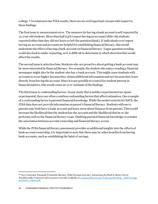college.[42](#page-34-0) In relation to the PISA results, there are several important caveats with respect to these findings.

The first issue is measurement error. The measure for having a bank account is self-reported by 15-year-old students. More than half (53%) report having an account (while 185 students reported either that they did not know or left the question blank). If individuals over-report having an account and accounts are helpful for establishing financial literacy, this would understate the effect of having a bank account on financial literacy. Vague question wording could also lead to under-reporting, so it is difficult to determine in which direction this would affect the results.

The second issue is selection bias. Students who are proactive about getting a bank account may be more interested in financial literacy. For example, the student who enjoys reading a financial newspaper might also be the student who has a bank account. This might cause students with accounts to score higher because they obtain additional information and not because they learn directly from having the account. Since it is not possible to control for student interest in financial matters, this would cause an over-estimate of the findings.

The third issue is confounding factors. In any study that is neither experimental nor quasiexperimental, there are often countless confounding factors that affect estimation. One example of a confounding factor is parental financial knowledge. While the model controls for ESCS, the PISA data doesnot provide information on parent's financial literacy. Students with savvy parents may both have a bank account and learn more about finances from parents. This would increase the likelihood that the student has the account and the likelihood that he or she performs well on the financial literacy exam. Omitting parental financial knowledge overstates the association between account ownership and financial literacy scores.

While the PISA financial literacy assessment provides us additional insights into the effects of bank account ownership, it is important to note that there may be other benefits from having bank accounts, such as establishing the habit of savings.

<span id="page-34-0"></span> <sup>42</sup> *See* Consumer Financial Protection Bureau, *Child Savings Account: Advancing the Field to Better Serve Traditionally Underserved Consumers* (2018) *available at* [consumerfinance.gov /f/documents/bcfp\\_child-savings](https://files.consumerfinance.gov/f/documents/bcfp_child-savings-accounts_report.pdf)[a ccounts\\_report.pdf](https://files.consumerfinance.gov/f/documents/bcfp_child-savings-accounts_report.pdf).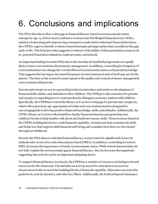## <span id="page-35-0"></span>6. Conclusions and implications

The PISA data shows that a clear gap in financial literacy based on socioeconomic status emerges by age 15, before most youth have even become full-fledged financial actors. With a mission of educating and empowering consumers to make better informed financial decisions, the CFPBis eager to identify evidence-based strategies and approaches that can address this gap early in life. This brief provides suggestive evidence of the ability of three potential avenues to do so: parental financial socialization, bank accounts, and schools.

An important finding from the PISA data is the fact that all familial backgrounds are equally likely to have conversations about money management. In addition, controlling for frequency of conversation does not change the overall effect of socioeconomic status on financial knowledge. This suggests that having an increased frequency of conversations in and of itself may not be the answer. The data in this research cannot speak to the quality and content of money management conversations with parents.

Parents and caregivers are in a powerful position to introduce and reinforce development of financial skills, habits, and attitudes in their children. The CFPB provides resources for parents and caregivers regarding how to create productive dialogues on money matters with children. Specifically, the CFPB has created the Money as You Grow webpage for parents and caregivers, which offers practical, age-appropriate activities and conversation starters designed for encouraging kids to develop positive financial knowledge, skills, and attitudes. Additionally, the CFPB's Money as You Grow Bookshelf is a family financial education program that uses children's books to help families talk about and build new money skills. These tools are based on the CFPB's building blocks for youth financial capability, a framework that examines the skills and behaviors that support adult financial well-being and considers how these are developed throughout childhood.

Second, the PISA data reveals that financial literacy scores tendto be significantly lower for students who receive free and reduced price lunch(FRPL). In addition, controlling for school FRPL decreases the importance of family socioeconomic status. While school characteristics do not fully explain the socioeconomic gap in financial literacy, they do decrease the magnitude, suggesting that schools can be an important mitigating factor.

To support financial literacy in schools, the CFPB has a number of resources including tools and resources for the classroom. This includes an activity search for educators to access free classroom activities to teach the building blocks of financial capability. Educators can search by grade level, activity duration, and other key filters. Additionally, the Federal Deposit Insurance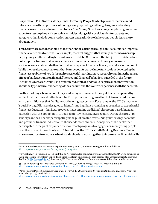Corporation (FDIC) offers Money Smart for Young People [43](#page-36-0), which provides materials and information on the importance of saving money, spending and budgeting, understanding financial resources, and many other topics. The Money Smart for Young People program offers educators lesson plans with engaging activities, along with special guides for parents and caregivers that include conversation starters and activities to help young people learn more about money.

Third, there are reasons to think that experiential learning through bank accounts can improve financial outcomes for teens. For example, research suggests that savings account ownership helps young adults avoid higher-cost unsecured debt.<sup>[44](#page-36-1)</sup> However, the 2015 U.S. PISA data does not support a finding that having a bank account affects financial literacy scores once socioeconomic status and other factors that may affect financial literacy are taken into account. While the results cannot rule out that bank accounts can be important tools in developing the financial capability of youth through experiential learning, more research examining the causal effect of bank accounts on financial literacy and financial behaviors is needed in the future. Ideally, this research would use a randomized control, and would capture more information about the type, nature, and setting of the account and the youth's experiences with the account.

Further, holding a bank account may lead to higher financial literacy if it is accompanied by explicit instruction and reflection. The FDIC promotes programs that link financial education with bank initiatives that facilitate youth savings accounts.<sup>45</sup> For example, the FDIC's two-year Youth Savings Pilot was designed to identify and highlight promising approaches to experiential financial education—that is, approaches that combine traditional classroom-based financial education with the opportunity to open a safe, low-cost savings account. During the 2015–16 school year, the 21 banks participating in the pilot created over 4,500 youth savings accounts and provided financial education to thousands more children. A majority of the banks that participated in the pilot expanded their outreach programs to engage even more young people over the course of the school year. [46](#page-36-3) In addition, the FDIC's Youth Banking Resource Center shares resources to encourage banks and schools to work together to improve the financial skills

[fdic.gov /consumers/assistance/protection/depaccounts/y outhsavings/documents/lessons-from-the-fdic-pilot.pdf](https://www.fdic.gov/consumers/assistance/protection/depaccounts/youthsavings/documents/lessons-from-the-fdic-pilot.pdf).

<span id="page-36-0"></span> <sup>43</sup> *See* Federal Deposit In surance Corporation (FDIC), Mon ey Smart for Young People *available at* [fdic.gov /consumers/consumer/moneysmart/y oung.html.](https://www.fdic.gov/consumers/consumer/moneysmart/young.html)

<span id="page-36-1"></span><sup>44</sup> Fr iedline, T., & Freeman, A. [Should this be A. Freeman for consistency with other n otes?] (2015). The potential for sa v ings accounts to protect young a dult households from unsecured debt in periods of macroeconomic stability and decline [\(AEDI Research Brief](https://aedi.ssw.umich.edu/sites/default/files/publications/publication-fi-briefs-brief-6.pdf)). Lawrence, KS: University of Kansas, Center on Assets, Education, and Inclusion.

<span id="page-36-2"></span><sup>4 5</sup> *See* Federal Deposit In surance Corporation (FDIC), Youth Ba nking Resource Center *available at* [fdic.gov /consumers/assistance/protection/depaccounts/y outhsavings/index.html](https://www.fdic.gov/consumers/assistance/protection/depaccounts/youthsavings/index.html).

<span id="page-36-3"></span><sup>46</sup> *See* Federal Deposit Insurance Corporation (FDIC), *Youth Savings with Financial Education: Lessons from the FDIC Pilo*t (2 017) *available at*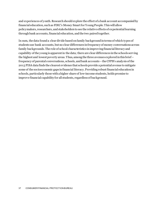and experiences of youth. Research should explore the effect of a bank account accompanied by financial education, such as FDIC's Money Smart for Young People. This will allow policymakers, researchers, and stakeholders to see the relative effects of experiential learning through bank accounts, financial education, and the two paired together.

In sum, the data found a clear divide based on family background in terms of which types of students use bank accounts, but no clear differences in frequency of money conversations across family backgrounds. The role of school characteristics in improving financial literacy and capability of the young is apparent in the data; there are clear differences in the schools serving the highest and lowest poverty areas. Thus, among the three avenues explored in this brief – frequency of parental conversations, schools, and bank accounts –the CFPB's analysis of the 2015 PISA data finds the clearest evidence that schools provide a potential avenue to mitigate some of the socioeconomic gaps in financial literacy. Providing robust financial education in schools, particularly those with a higher share of low-income students, holds promise to improve financial capability for all students, regardless of background.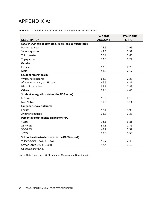### <span id="page-38-0"></span>APPENDIX A:

#### **TABLE 4:** DESCRIPTIV E STATISTICS: WHO HAS A BANK ACCOUNT?

| <b>DESCRIPTION</b>                                         | % BANK<br><b>ACCOUNT</b> | <b>STANDARD</b><br><b>ERROR</b> |
|------------------------------------------------------------|--------------------------|---------------------------------|
| ESCS (PISA index of economic, social, and cultural status) |                          |                                 |
| Bottom quarter                                             | 28.6                     | 2.95                            |
| Second quarter                                             | 48.8                     | 3.32                            |
| Third quarter                                              | 56.4                     | 2.65                            |
| Top quarter                                                | 72.8                     | 2.24                            |
| Gender                                                     |                          |                                 |
| Female                                                     | 52.9                     | 2.23                            |
| Male                                                       | 53.6                     | 2.17                            |
| <b>Student race/ethnicity</b>                              |                          |                                 |
| White, not Hispanic                                        | 64.3                     | 2.26                            |
| African American, not Hispanic                             | 46.5                     | 4.31                            |
| Hispanic or Latino                                         | 35.1                     | 2.88                            |
| Others                                                     | 59.4                     | 4.06                            |
| <b>Student immigration status (the PISA index)</b>         |                          |                                 |
| U.S. Native                                                | 56.8                     | 2.18                            |
| Non-Native                                                 | 39.3                     | 3.14                            |
| Language spoken at home                                    |                          |                                 |
| English                                                    | 57.1                     | 1.96                            |
| Another language                                           | 32.8                     | 3.38                            |
| Percentage of students eligible for FRPL                   |                          |                                 |
| < 25%                                                      | 76.1                     | 3.28                            |
| 25-49.9%                                                   | 59.3                     | 2.71                            |
| 50-74.9%                                                   | 48.7                     | 2.57                            |
| >75%                                                       | 29.0                     | 3.59                            |
| School location (collapsed as in the OECD report)          |                          |                                 |
| Village, Small Town, or Town                               | 56.7                     | 2.40                            |
| City or Large City (>=100K)                                | 47.4                     | 3.18                            |

Observations=1,486

Notes: Da ta from 2015 U.S. PISA Mon ey Management Questionnaire.